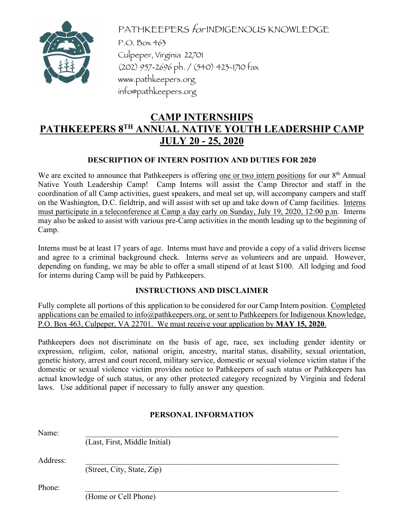

PATHKEEPERS for INDIGENOUS KNOWLEDGE P.O. Box 463 Culpeper, Virginia 22701 (202) 957-2696 ph. / (540) 423-1710 fax www.pathkeepers.org info@pathkeepers.org

# **CAMP INTERNSHIPS PATHKEEPERS 8TH ANNUAL NATIVE YOUTH LEADERSHIP CAMP JULY 20 - 25, 2020**

## **DESCRIPTION OF INTERN POSITION AND DUTIES FOR 2020**

We are excited to announce that Pathkeepers is offering one or two intern positions for our  $8<sup>th</sup>$  Annual Native Youth Leadership Camp! Camp Interns will assist the Camp Director and staff in the coordination of all Camp activities, guest speakers, and meal set up, will accompany campers and staff on the Washington, D.C. fieldtrip, and will assist with set up and take down of Camp facilities. Interns must participate in a teleconference at Camp a day early on Sunday, July 19, 2020, 12:00 p.m. Interns may also be asked to assist with various pre-Camp activities in the month leading up to the beginning of Camp.

Interns must be at least 17 years of age. Interns must have and provide a copy of a valid drivers license and agree to a criminal background check. Interns serve as volunteers and are unpaid. However, depending on funding, we may be able to offer a small stipend of at least \$100. All lodging and food for interns during Camp will be paid by Pathkeepers.

## **INSTRUCTIONS AND DISCLAIMER**

Fully complete all portions of this application to be considered for our Camp Intern position. Completed applications can be emailed to info@pathkeepers.org, or sent to Pathkeepers for Indigenous Knowledge, P.O. Box 463, Culpeper, VA 22701. We must receive your application by **MAY 15, 2020**.

Pathkeepers does not discriminate on the basis of age, race, sex including gender identity or expression, religion, color, national origin, ancestry, marital status, disability, sexual orientation, genetic history, arrest and court record, military service, domestic or sexual violence victim status if the domestic or sexual violence victim provides notice to Pathkeepers of such status or Pathkeepers has actual knowledge of such status, or any other protected category recognized by Virginia and federal laws. Use additional paper if necessary to fully answer any question.

## **PERSONAL INFORMATION**

| Name:    |                               |  |
|----------|-------------------------------|--|
|          | (Last, First, Middle Initial) |  |
| Address: |                               |  |
|          | (Street, City, State, Zip)    |  |
| Phone:   |                               |  |
|          | (Home or Cell Phone)          |  |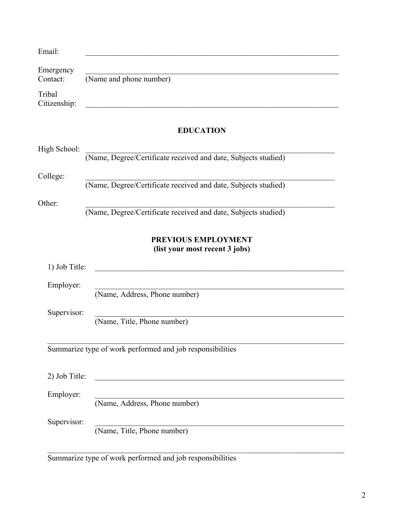| Email:                 |                                                                |
|------------------------|----------------------------------------------------------------|
| Emergency<br>Contact:  | (Name and phone number)                                        |
| Tribal<br>Citizenship: |                                                                |
|                        | <b>EDUCATION</b>                                               |
| High School:           | (Name, Degree/Certificate received and date, Subjects studied) |
| College:               | (Name, Degree/Certificate received and date, Subjects studied) |
| Other:                 | (Name, Degree/Certificate received and date, Subjects studied) |
|                        | PREVIOUS EMPLOYMENT<br>(list your most recent 3 jobs)          |
| 1) Job Title:          |                                                                |
| Employer:              | (Name, Address, Phone number)                                  |
| Supervisor:            | (Name, Title, Phone number)                                    |
|                        | Summarize type of work performed and job responsibilities      |
| 2) Job Title:          |                                                                |
| Employer:              | (Name, Address, Phone number)                                  |
| Supervisor:            | (Name, Title, Phone number)                                    |

Summarize type of work performed and job responsibilities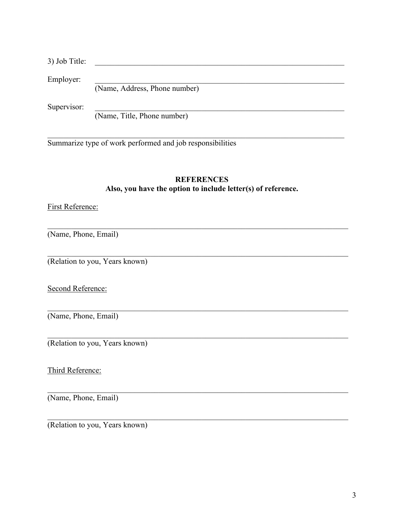| 3) Job Title: |                               |
|---------------|-------------------------------|
| Employer:     |                               |
|               | (Name, Address, Phone number) |
| Supervisor:   |                               |
|               | (Name, Title, Phone number)   |

Summarize type of work performed and job responsibilities

## **REFERENCES Also, you have the option to include letter(s) of reference.**

## First Reference:

(Name, Phone, Email)

(Relation to you, Years known)

Second Reference:

(Name, Phone, Email)

(Relation to you, Years known)

Third Reference:

(Name, Phone, Email)

(Relation to you, Years known)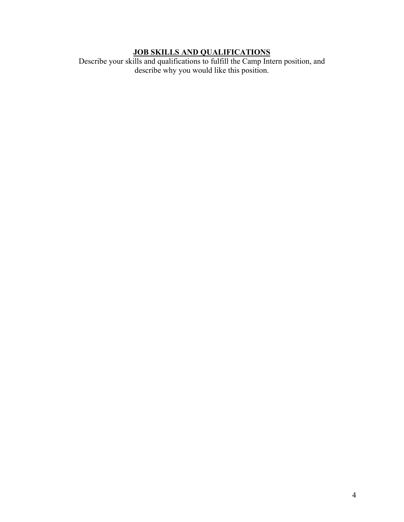#### **JOB SKILLS AND QUALIFICATIONS**

Describe your skills and qualifications to fulfill the Camp Intern position, and describe why you would like this position.